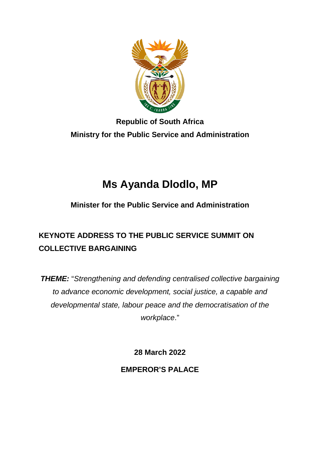

## **Republic of South Africa Ministry for the Public Service and Administration**

# **Ms Ayanda Dlodlo, MP**

## **Minister for the Public Service and Administration**

## **KEYNOTE ADDRESS TO THE PUBLIC SERVICE SUMMIT ON COLLECTIVE BARGAINING**

*THEME:* "*Strengthening and defending centralised collective bargaining to advance economic development, social justice, a capable and developmental state, labour peace and the democratisation of the workplace*."

**28 March 2022**

**EMPEROR'S PALACE**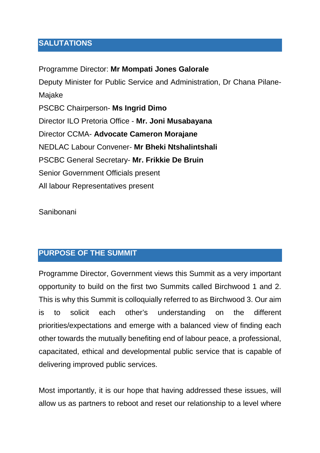#### **SALUTATIONS**

Programme Director: **Mr Mompati Jones Galorale** Deputy Minister for Public Service and Administration, Dr Chana Pilane-Majake PSCBC Chairperson- **Ms Ingrid Dimo** Director ILO Pretoria Office - **Mr. Joni Musabayana** Director CCMA- **Advocate Cameron Morajane** NEDLAC Labour Convener- **Mr Bheki Ntshalintshali** PSCBC General Secretary- **Mr. Frikkie De Bruin** Senior Government Officials present All labour Representatives present

Sanibonani

## **PURPOSE OF THE SUMMIT**

Programme Director, Government views this Summit as a very important opportunity to build on the first two Summits called Birchwood 1 and 2. This is why this Summit is colloquially referred to as Birchwood 3. Our aim is to solicit each other's understanding on the different priorities/expectations and emerge with a balanced view of finding each other towards the mutually benefiting end of labour peace, a professional, capacitated, ethical and developmental public service that is capable of delivering improved public services.

Most importantly, it is our hope that having addressed these issues, will allow us as partners to reboot and reset our relationship to a level where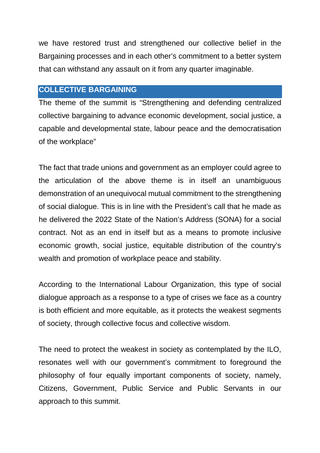we have restored trust and strengthened our collective belief in the Bargaining processes and in each other's commitment to a better system that can withstand any assault on it from any quarter imaginable.

### **COLLECTIVE BARGAINING**

The theme of the summit is "Strengthening and defending centralized collective bargaining to advance economic development, social justice, a capable and developmental state, labour peace and the democratisation of the workplace"

The fact that trade unions and government as an employer could agree to the articulation of the above theme is in itself an unambiguous demonstration of an unequivocal mutual commitment to the strengthening of social dialogue. This is in line with the President's call that he made as he delivered the 2022 State of the Nation's Address (SONA) for a social contract. Not as an end in itself but as a means to promote inclusive economic growth, social justice, equitable distribution of the country's wealth and promotion of workplace peace and stability.

According to the International Labour Organization, this type of social dialogue approach as a response to a type of crises we face as a country is both efficient and more equitable, as it protects the weakest segments of society, through collective focus and collective wisdom.

The need to protect the weakest in society as contemplated by the ILO, resonates well with our government's commitment to foreground the philosophy of four equally important components of society, namely, Citizens, Government, Public Service and Public Servants in our approach to this summit.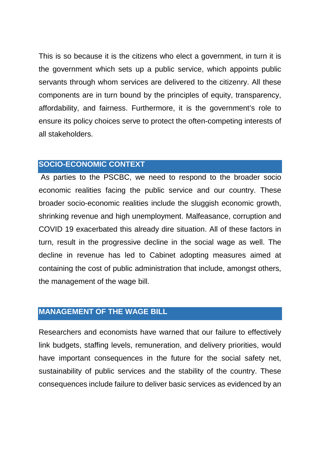This is so because it is the citizens who elect a government, in turn it is the government which sets up a public service, which appoints public servants through whom services are delivered to the citizenry. All these components are in turn bound by the principles of equity, transparency, affordability, and fairness. Furthermore, it is the government's role to ensure its policy choices serve to protect the often-competing interests of all stakeholders.

#### **SOCIO-ECONOMIC CONTEXT**

As parties to the PSCBC, we need to respond to the broader socio economic realities facing the public service and our country. These broader socio-economic realities include the sluggish economic growth, shrinking revenue and high unemployment. Malfeasance, corruption and COVID 19 exacerbated this already dire situation. All of these factors in turn, result in the progressive decline in the social wage as well. The decline in revenue has led to Cabinet adopting measures aimed at containing the cost of public administration that include, amongst others, the management of the wage bill.

#### **MANAGEMENT OF THE WAGE BILL**

Researchers and economists have warned that our failure to effectively link budgets, staffing levels, remuneration, and delivery priorities, would have important consequences in the future for the social safety net, sustainability of public services and the stability of the country. These consequences include failure to deliver basic services as evidenced by an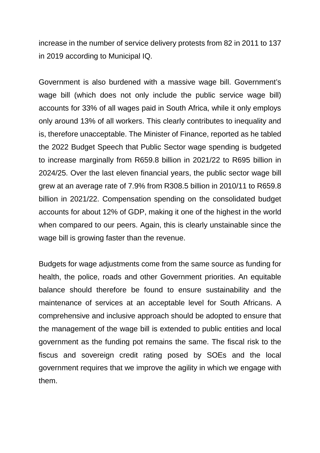increase in the number of service delivery protests from 82 in 2011 to 137 in 2019 according to Municipal IQ.

Government is also burdened with a massive wage bill. Government's wage bill (which does not only include the public service wage bill) accounts for 33% of all wages paid in South Africa, while it only employs only around 13% of all workers. This clearly contributes to inequality and is, therefore unacceptable. The Minister of Finance, reported as he tabled the 2022 Budget Speech that Public Sector wage spending is budgeted to increase marginally from R659.8 billion in 2021/22 to R695 billion in 2024/25. Over the last eleven financial years, the public sector wage bill grew at an average rate of 7.9% from R308.5 billion in 2010/11 to R659.8 billion in 2021/22. Compensation spending on the consolidated budget accounts for about 12% of GDP, making it one of the highest in the world when compared to our peers. Again, this is clearly unstainable since the wage bill is growing faster than the revenue.

Budgets for wage adjustments come from the same source as funding for health, the police, roads and other Government priorities. An equitable balance should therefore be found to ensure sustainability and the maintenance of services at an acceptable level for South Africans. A comprehensive and inclusive approach should be adopted to ensure that the management of the wage bill is extended to public entities and local government as the funding pot remains the same. The fiscal risk to the fiscus and sovereign credit rating posed by SOEs and the local government requires that we improve the agility in which we engage with them.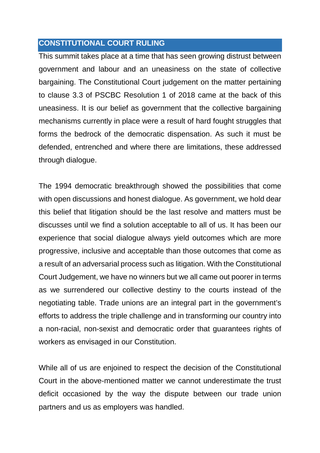#### **CONSTITUTIONAL COURT RULING**

This summit takes place at a time that has seen growing distrust between government and labour and an uneasiness on the state of collective bargaining. The Constitutional Court judgement on the matter pertaining to clause 3.3 of PSCBC Resolution 1 of 2018 came at the back of this uneasiness. It is our belief as government that the collective bargaining mechanisms currently in place were a result of hard fought struggles that forms the bedrock of the democratic dispensation. As such it must be defended, entrenched and where there are limitations, these addressed through dialogue.

The 1994 democratic breakthrough showed the possibilities that come with open discussions and honest dialogue. As government, we hold dear this belief that litigation should be the last resolve and matters must be discusses until we find a solution acceptable to all of us. It has been our experience that social dialogue always yield outcomes which are more progressive, inclusive and acceptable than those outcomes that come as a result of an adversarial process such as litigation. With the Constitutional Court Judgement, we have no winners but we all came out poorer in terms as we surrendered our collective destiny to the courts instead of the negotiating table. Trade unions are an integral part in the government's efforts to address the triple challenge and in transforming our country into a non-racial, non-sexist and democratic order that guarantees rights of workers as envisaged in our Constitution.

While all of us are enjoined to respect the decision of the Constitutional Court in the above-mentioned matter we cannot underestimate the trust deficit occasioned by the way the dispute between our trade union partners and us as employers was handled.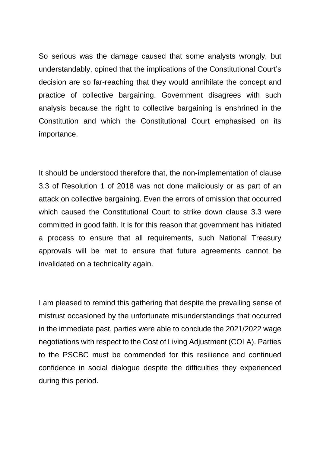So serious was the damage caused that some analysts wrongly, but understandably, opined that the implications of the Constitutional Court's decision are so far-reaching that they would annihilate the concept and practice of collective bargaining. Government disagrees with such analysis because the right to collective bargaining is enshrined in the Constitution and which the Constitutional Court emphasised on its importance.

It should be understood therefore that, the non-implementation of clause 3.3 of Resolution 1 of 2018 was not done maliciously or as part of an attack on collective bargaining. Even the errors of omission that occurred which caused the Constitutional Court to strike down clause 3.3 were committed in good faith. It is for this reason that government has initiated a process to ensure that all requirements, such National Treasury approvals will be met to ensure that future agreements cannot be invalidated on a technicality again.

I am pleased to remind this gathering that despite the prevailing sense of mistrust occasioned by the unfortunate misunderstandings that occurred in the immediate past, parties were able to conclude the 2021/2022 wage negotiations with respect to the Cost of Living Adjustment (COLA). Parties to the PSCBC must be commended for this resilience and continued confidence in social dialogue despite the difficulties they experienced during this period.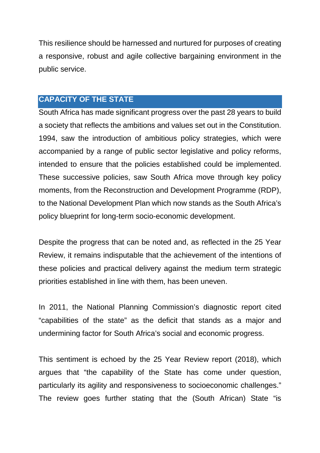This resilience should be harnessed and nurtured for purposes of creating a responsive, robust and agile collective bargaining environment in the public service.

### **CAPACITY OF THE STATE**

South Africa has made significant progress over the past 28 years to build a society that reflects the ambitions and values set out in the Constitution. 1994, saw the introduction of ambitious policy strategies, which were accompanied by a range of public sector legislative and policy reforms, intended to ensure that the policies established could be implemented. These successive policies, saw South Africa move through key policy moments, from the Reconstruction and Development Programme (RDP), to the National Development Plan which now stands as the South Africa's policy blueprint for long-term socio-economic development.

Despite the progress that can be noted and, as reflected in the 25 Year Review, it remains indisputable that the achievement of the intentions of these policies and practical delivery against the medium term strategic priorities established in line with them, has been uneven.

In 2011, the National Planning Commission's diagnostic report cited "capabilities of the state" as the deficit that stands as a major and undermining factor for South Africa's social and economic progress.

This sentiment is echoed by the 25 Year Review report (2018), which argues that "the capability of the State has come under question, particularly its agility and responsiveness to socioeconomic challenges." The review goes further stating that the (South African) State "is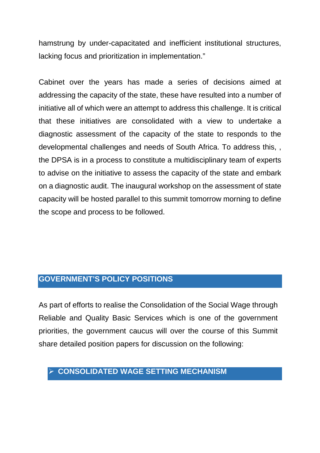hamstrung by under-capacitated and inefficient institutional structures, lacking focus and prioritization in implementation."

Cabinet over the years has made a series of decisions aimed at addressing the capacity of the state, these have resulted into a number of initiative all of which were an attempt to address this challenge. It is critical that these initiatives are consolidated with a view to undertake a diagnostic assessment of the capacity of the state to responds to the developmental challenges and needs of South Africa. To address this, , the DPSA is in a process to constitute a multidisciplinary team of experts to advise on the initiative to assess the capacity of the state and embark on a diagnostic audit. The inaugural workshop on the assessment of state capacity will be hosted parallel to this summit tomorrow morning to define the scope and process to be followed.

#### **GOVERNMENT'S POLICY POSITIONS**

As part of efforts to realise the Consolidation of the Social Wage through Reliable and Quality Basic Services which is one of the government priorities, the government caucus will over the course of this Summit share detailed position papers for discussion on the following:

#### **CONSOLIDATED WAGE SETTING MECHANISM**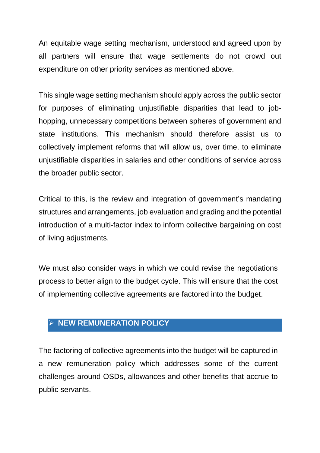An equitable wage setting mechanism, understood and agreed upon by all partners will ensure that wage settlements do not crowd out expenditure on other priority services as mentioned above.

This single wage setting mechanism should apply across the public sector for purposes of eliminating unjustifiable disparities that lead to jobhopping, unnecessary competitions between spheres of government and state institutions. This mechanism should therefore assist us to collectively implement reforms that will allow us, over time, to eliminate unjustifiable disparities in salaries and other conditions of service across the broader public sector.

Critical to this, is the review and integration of government's mandating structures and arrangements, job evaluation and grading and the potential introduction of a multi-factor index to inform collective bargaining on cost of living adjustments.

We must also consider ways in which we could revise the negotiations process to better align to the budget cycle. This will ensure that the cost of implementing collective agreements are factored into the budget.

## **NEW REMUNERATION POLICY**

The factoring of collective agreements into the budget will be captured in a new remuneration policy which addresses some of the current challenges around OSDs, allowances and other benefits that accrue to public servants.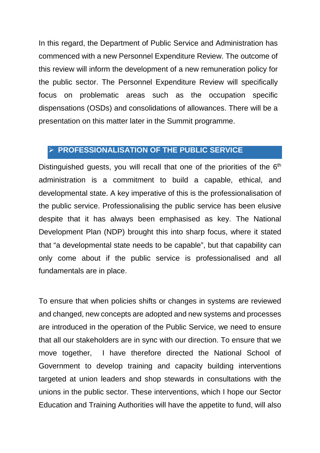In this regard, the Department of Public Service and Administration has commenced with a new Personnel Expenditure Review. The outcome of this review will inform the development of a new remuneration policy for the public sector. The Personnel Expenditure Review will specifically focus on problematic areas such as the occupation specific dispensations (OSDs) and consolidations of allowances. There will be a presentation on this matter later in the Summit programme.

#### **PROFESSIONALISATION OF THE PUBLIC SERVICE**

Distinguished guests, you will recall that one of the priorities of the  $6<sup>th</sup>$ administration is a commitment to build a capable, ethical, and developmental state. A key imperative of this is the professionalisation of the public service. Professionalising the public service has been elusive despite that it has always been emphasised as key. The National Development Plan (NDP) brought this into sharp focus, where it stated that "a developmental state needs to be capable", but that capability can only come about if the public service is professionalised and all fundamentals are in place.

To ensure that when policies shifts or changes in systems are reviewed and changed, new concepts are adopted and new systems and processes are introduced in the operation of the Public Service, we need to ensure that all our stakeholders are in sync with our direction. To ensure that we move together, I have therefore directed the National School of Government to develop training and capacity building interventions targeted at union leaders and shop stewards in consultations with the unions in the public sector. These interventions, which I hope our Sector Education and Training Authorities will have the appetite to fund, will also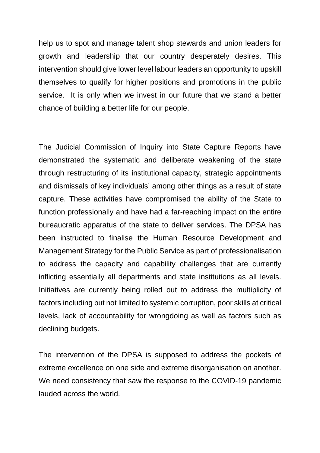help us to spot and manage talent shop stewards and union leaders for growth and leadership that our country desperately desires. This intervention should give lower level labour leaders an opportunity to upskill themselves to qualify for higher positions and promotions in the public service. It is only when we invest in our future that we stand a better chance of building a better life for our people.

The Judicial Commission of Inquiry into State Capture Reports have demonstrated the systematic and deliberate weakening of the state through restructuring of its institutional capacity, strategic appointments and dismissals of key individuals' among other things as a result of state capture. These activities have compromised the ability of the State to function professionally and have had a far-reaching impact on the entire bureaucratic apparatus of the state to deliver services. The DPSA has been instructed to finalise the Human Resource Development and Management Strategy for the Public Service as part of professionalisation to address the capacity and capability challenges that are currently inflicting essentially all departments and state institutions as all levels. Initiatives are currently being rolled out to address the multiplicity of factors including but not limited to systemic corruption, poor skills at critical levels, lack of accountability for wrongdoing as well as factors such as declining budgets.

The intervention of the DPSA is supposed to address the pockets of extreme excellence on one side and extreme disorganisation on another. We need consistency that saw the response to the COVID-19 pandemic lauded across the world.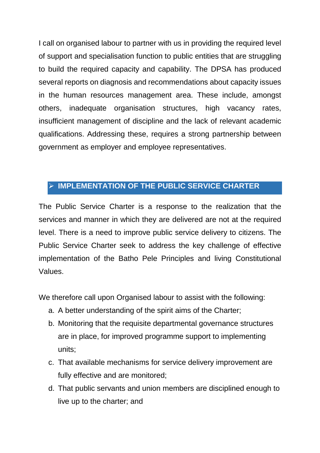I call on organised labour to partner with us in providing the required level of support and specialisation function to public entities that are struggling to build the required capacity and capability. The DPSA has produced several reports on diagnosis and recommendations about capacity issues in the human resources management area. These include, amongst others, inadequate organisation structures, high vacancy rates, insufficient management of discipline and the lack of relevant academic qualifications. Addressing these, requires a strong partnership between government as employer and employee representatives.

## **IMPLEMENTATION OF THE PUBLIC SERVICE CHARTER**

The Public Service Charter is a response to the realization that the services and manner in which they are delivered are not at the required level. There is a need to improve public service delivery to citizens. The Public Service Charter seek to address the key challenge of effective implementation of the Batho Pele Principles and living Constitutional Values.

We therefore call upon Organised labour to assist with the following:

- a. A better understanding of the spirit aims of the Charter;
- b. Monitoring that the requisite departmental governance structures are in place, for improved programme support to implementing units;
- c. That available mechanisms for service delivery improvement are fully effective and are monitored;
- d. That public servants and union members are disciplined enough to live up to the charter; and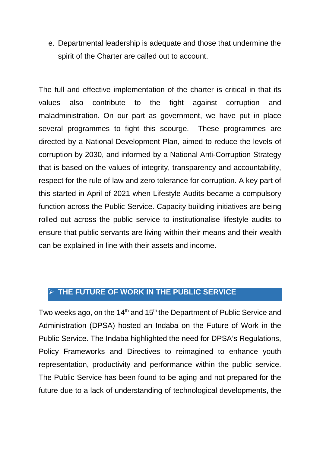e. Departmental leadership is adequate and those that undermine the spirit of the Charter are called out to account.

The full and effective implementation of the charter is critical in that its values also contribute to the fight against corruption and maladministration. On our part as government, we have put in place several programmes to fight this scourge. These programmes are directed by a National Development Plan, aimed to reduce the levels of corruption by 2030, and informed by a National Anti-Corruption Strategy that is based on the values of integrity, transparency and accountability, respect for the rule of law and zero tolerance for corruption. A key part of this started in April of 2021 when Lifestyle Audits became a compulsory function across the Public Service. Capacity building initiatives are being rolled out across the public service to institutionalise lifestyle audits to ensure that public servants are living within their means and their wealth can be explained in line with their assets and income.

## **THE FUTURE OF WORK IN THE PUBLIC SERVICE**

Two weeks ago, on the  $14<sup>th</sup>$  and  $15<sup>th</sup>$  the Department of Public Service and Administration (DPSA) hosted an Indaba on the Future of Work in the Public Service. The Indaba highlighted the need for DPSA's Regulations, Policy Frameworks and Directives to reimagined to enhance youth representation, productivity and performance within the public service. The Public Service has been found to be aging and not prepared for the future due to a lack of understanding of technological developments, the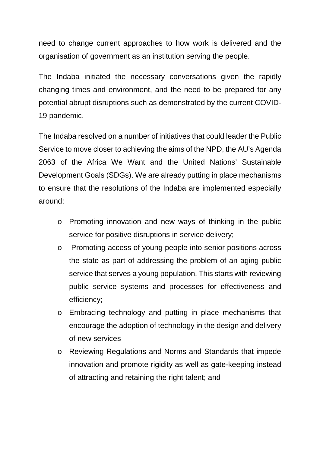need to change current approaches to how work is delivered and the organisation of government as an institution serving the people.

The Indaba initiated the necessary conversations given the rapidly changing times and environment, and the need to be prepared for any potential abrupt disruptions such as demonstrated by the current COVID-19 pandemic.

The Indaba resolved on a number of initiatives that could leader the Public Service to move closer to achieving the aims of the NPD, the AU's Agenda 2063 of the Africa We Want and the United Nations' Sustainable Development Goals (SDGs). We are already putting in place mechanisms to ensure that the resolutions of the Indaba are implemented especially around:

- o Promoting innovation and new ways of thinking in the public service for positive disruptions in service delivery;
- o Promoting access of young people into senior positions across the state as part of addressing the problem of an aging public service that serves a young population. This starts with reviewing public service systems and processes for effectiveness and efficiency;
- o Embracing technology and putting in place mechanisms that encourage the adoption of technology in the design and delivery of new services
- o Reviewing Regulations and Norms and Standards that impede innovation and promote rigidity as well as gate-keeping instead of attracting and retaining the right talent; and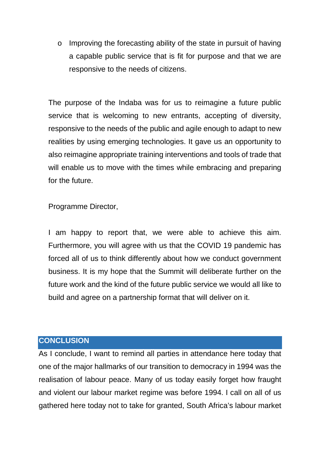o Improving the forecasting ability of the state in pursuit of having a capable public service that is fit for purpose and that we are responsive to the needs of citizens.

The purpose of the Indaba was for us to reimagine a future public service that is welcoming to new entrants, accepting of diversity, responsive to the needs of the public and agile enough to adapt to new realities by using emerging technologies. It gave us an opportunity to also reimagine appropriate training interventions and tools of trade that will enable us to move with the times while embracing and preparing for the future.

Programme Director,

I am happy to report that, we were able to achieve this aim. Furthermore, you will agree with us that the COVID 19 pandemic has forced all of us to think differently about how we conduct government business. It is my hope that the Summit will deliberate further on the future work and the kind of the future public service we would all like to build and agree on a partnership format that will deliver on it.

#### **CONCLUSION**

As I conclude, I want to remind all parties in attendance here today that one of the major hallmarks of our transition to democracy in 1994 was the realisation of labour peace. Many of us today easily forget how fraught and violent our labour market regime was before 1994. I call on all of us gathered here today not to take for granted, South Africa's labour market